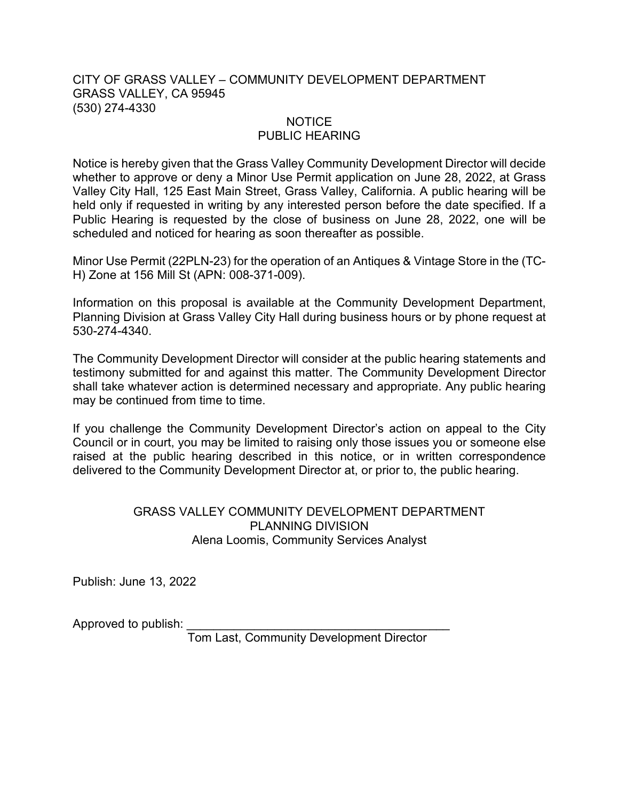## CITY OF GRASS VALLEY – COMMUNITY DEVELOPMENT DEPARTMENT GRASS VALLEY, CA 95945 (530) 274-4330

## NOTICE

## PUBLIC HEARING

Notice is hereby given that the Grass Valley Community Development Director will decide whether to approve or deny a Minor Use Permit application on June 28, 2022, at Grass Valley City Hall, 125 East Main Street, Grass Valley, California. A public hearing will be held only if requested in writing by any interested person before the date specified. If a Public Hearing is requested by the close of business on June 28, 2022, one will be scheduled and noticed for hearing as soon thereafter as possible.

Minor Use Permit (22PLN-23) for the operation of an Antiques & Vintage Store in the (TC-H) Zone at 156 Mill St (APN: 008-371-009).

Information on this proposal is available at the Community Development Department, Planning Division at Grass Valley City Hall during business hours or by phone request at 530-274-4340.

The Community Development Director will consider at the public hearing statements and testimony submitted for and against this matter. The Community Development Director shall take whatever action is determined necessary and appropriate. Any public hearing may be continued from time to time.

If you challenge the Community Development Director's action on appeal to the City Council or in court, you may be limited to raising only those issues you or someone else raised at the public hearing described in this notice, or in written correspondence delivered to the Community Development Director at, or prior to, the public hearing.

## GRASS VALLEY COMMUNITY DEVELOPMENT DEPARTMENT PLANNING DIVISION Alena Loomis, Community Services Analyst

Publish: June 13, 2022

Approved to publish:

Tom Last, Community Development Director